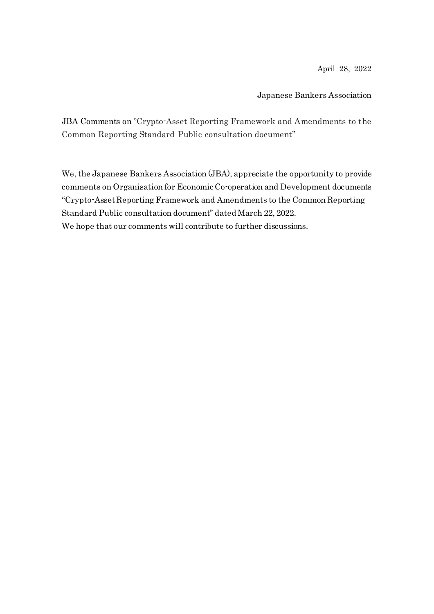April 28, 2022

Japanese Bankers Association

JBA Comments on "Crypto-Asset Reporting Framework and Amendments to the Common Reporting Standard Public consultation document"

We, the Japanese Bankers Association (JBA), appreciate the opportunity to provide comments on Organisation for Economic Co-operation and Development documents "Crypto-Asset Reporting Framework and Amendments to the Common Reporting Standard Public consultation document" dated March 22, 2022.

We hope that our comments will contribute to further discussions.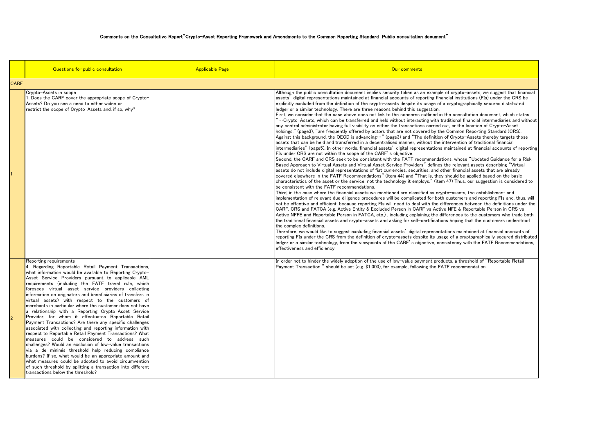|             | Questions for public consultation                                                                                                                                                                                                                                                                                                                                                                                                                                                                                                                                                                                                                                                                                                                                                                                                                                                                                                                                                                                                                                                                                                                                                           | <b>Applicable Page</b> | Our comments                                                                                                                                                                                                                                                                                                                                                                                                                                                                                                                                                                                                                                                                                                                                                                                                                                                                                                                                                                                                                                                                                                                                                                                                                                                                                                                                                                                                                                                                                                                                                                                                                                                                                                                                                                                                                                                                                                                                                                                                                                                                                                                                                                                                                                                                                                                                                                                                                                                                                                                                                                                                                                                                                                                                                                                                                                                                                                                                                                                                                                                                                                                                                                                                                                                                                                                                                   |
|-------------|---------------------------------------------------------------------------------------------------------------------------------------------------------------------------------------------------------------------------------------------------------------------------------------------------------------------------------------------------------------------------------------------------------------------------------------------------------------------------------------------------------------------------------------------------------------------------------------------------------------------------------------------------------------------------------------------------------------------------------------------------------------------------------------------------------------------------------------------------------------------------------------------------------------------------------------------------------------------------------------------------------------------------------------------------------------------------------------------------------------------------------------------------------------------------------------------|------------------------|----------------------------------------------------------------------------------------------------------------------------------------------------------------------------------------------------------------------------------------------------------------------------------------------------------------------------------------------------------------------------------------------------------------------------------------------------------------------------------------------------------------------------------------------------------------------------------------------------------------------------------------------------------------------------------------------------------------------------------------------------------------------------------------------------------------------------------------------------------------------------------------------------------------------------------------------------------------------------------------------------------------------------------------------------------------------------------------------------------------------------------------------------------------------------------------------------------------------------------------------------------------------------------------------------------------------------------------------------------------------------------------------------------------------------------------------------------------------------------------------------------------------------------------------------------------------------------------------------------------------------------------------------------------------------------------------------------------------------------------------------------------------------------------------------------------------------------------------------------------------------------------------------------------------------------------------------------------------------------------------------------------------------------------------------------------------------------------------------------------------------------------------------------------------------------------------------------------------------------------------------------------------------------------------------------------------------------------------------------------------------------------------------------------------------------------------------------------------------------------------------------------------------------------------------------------------------------------------------------------------------------------------------------------------------------------------------------------------------------------------------------------------------------------------------------------------------------------------------------------------------------------------------------------------------------------------------------------------------------------------------------------------------------------------------------------------------------------------------------------------------------------------------------------------------------------------------------------------------------------------------------------------------------------------------------------------------------------------------------------|
| <b>CARF</b> |                                                                                                                                                                                                                                                                                                                                                                                                                                                                                                                                                                                                                                                                                                                                                                                                                                                                                                                                                                                                                                                                                                                                                                                             |                        |                                                                                                                                                                                                                                                                                                                                                                                                                                                                                                                                                                                                                                                                                                                                                                                                                                                                                                                                                                                                                                                                                                                                                                                                                                                                                                                                                                                                                                                                                                                                                                                                                                                                                                                                                                                                                                                                                                                                                                                                                                                                                                                                                                                                                                                                                                                                                                                                                                                                                                                                                                                                                                                                                                                                                                                                                                                                                                                                                                                                                                                                                                                                                                                                                                                                                                                                                                |
|             | Crypto-Assets in scope<br>Does the CARF cover the appropriate scope of Crypto-<br>Assets? Do you see a need to either widen or<br>restrict the scope of Crypto-Assets and, if so, why?                                                                                                                                                                                                                                                                                                                                                                                                                                                                                                                                                                                                                                                                                                                                                                                                                                                                                                                                                                                                      |                        | Although the public consultation document implies security token as an example of crypto-assets, we suggest that financial<br>assets' digital representations maintained at financial accounts of reporting financial institutions (FIs) under the CRS be<br>explicitly excluded from the definition of the crypto-assets despite its usage of a cryptographically secured distributed<br>ledger or a similar technology. There are three reasons behind this suggestion.<br>First, we consider that the case above does not link to the concerns outlined in the consultation document, which states<br>$``\cdots$ Crypto-Assets, which can be transferred and held without interacting with traditional financial intermediaries and without<br>any central administrator having full visibility on either the transactions carried out, or the location of Crypto-Asset<br>holdings." (page3), "are frequently offered by actors that are not covered by the Common Reporting Standard (CRS).<br>Against this background, the OECD is advancing…" (page3) and "The definition of Crypto-Assets thereby targets those<br>assets that can be held and transferred in a decentralised manner, without the intervention of traditional financial<br>intermediaries" (page5). In other words, financial assets' digital representations maintained at financial accounts of reporting<br>FIs under CRS are not within the scope of the CARF's objective.<br>Second, the CARF and CRS seek to be consistent with the FATF recommendations, whose "Updated Guidance for a Risk-<br>Based Approach to Virtual Assets and Virtual Asset Service Providers" defines the relevant assets describing "Virtual<br>assets do not include digital representations of fiat currencies, securities, and other financial assets that are already<br>covered elsewhere in the FATF Recommendations" (item 44) and "That is, they should be applied based on the basic<br>characteristics of the asset or the service, not the technology it employs." (item 47) Thus, our suggestion is considered to<br>be consistent with the FATF recommendations.<br>Third, in the case where the financial assets we mentioned are classified as crypto-assets, the establishment and<br>implementation of relevant due diligence procedures will be complicated for both customers and reporting FIs and, thus, will<br>not be effective and efficient, because reporting FIs will need to deal with the differences between the definitions under the<br>CARF, CRS and FATCA (e.g. Active Entity & Excluded Person in CARF vs Active NFE & Reportable Person in CRS vs<br>Active NFFE and Reportable Person in FATCA, etc.), including explaining the differences to the customers who trade both<br>the traditional financial assets and crypto-assets and asking for self-certifications hoping that the customers understood<br>the complex definitions.<br>Therefore, we would like to suggest excluding financial assets' digital representations maintained at financial accounts of<br>reporting FIs under the CRS from the definition of crypto-assets despite its usage of a cryptographically secured distributed<br>ledger or a similar technology, from the viewpoints of the CARF's objective, consistency with the FATF Recommendations,<br>effectiveness and efficiency. |
|             | Reporting requirements<br>4. Regarding Reportable Retail Payment Transactions,<br>what information would be available to Reporting Crypto-<br>Asset Service Providers pursuant to applicable AML<br>requirements (including the FATF travel rule, which<br>foresees virtual asset service providers collecting<br>information on originators and beneficiaries of transfers in<br>virtual assets) with respect to the customers of<br>merchants in particular where the customer does not have<br>a relationship with a Reporting Crypto-Asset Service<br>Provider, for whom it effectuates Reportable Retail<br>Payment Transactions? Are there any specific challenges<br>associated with collecting and reporting information with<br>respect to Reportable Retail Payment Transactions? What<br>measures could be considered to address such<br>challenges? Would an exclusion of low-value transactions<br>via a de minimis threshold help reducing compliance<br>burdens? If so, what would be an appropriate amount and<br>what measures could be adopted to avoid circumvention<br>of such threshold by splitting a transaction into different<br>transactions below the threshold? |                        | In order not to hinder the widely adoption of the use of low-value payment products, a threshold of "Reportable Retail<br>Payment Transaction " should be set (e.g. \$1,000), for example, following the FATF recommendation,                                                                                                                                                                                                                                                                                                                                                                                                                                                                                                                                                                                                                                                                                                                                                                                                                                                                                                                                                                                                                                                                                                                                                                                                                                                                                                                                                                                                                                                                                                                                                                                                                                                                                                                                                                                                                                                                                                                                                                                                                                                                                                                                                                                                                                                                                                                                                                                                                                                                                                                                                                                                                                                                                                                                                                                                                                                                                                                                                                                                                                                                                                                                  |

## Comments on the Consultative Report"Crypto-Asset Reporting Framework and Amendments to the Common Reporting Standard Public consultation document"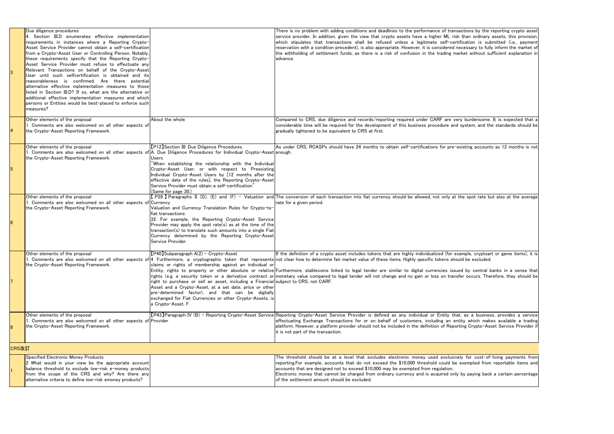|       | Due diligence procedures<br>4. Section III.D enumerates effective implementation<br>requirements in instances where a Reporting Crypto-<br>Asset Service Provider cannot obtain a self-certification<br>from a Crypto-Asset User or Controlling Person. Notably,<br>these requirements specify that the Reporting Crypto-<br>Asset Service Provider must refuse to effectuate any<br>Relevant Transactions on behalf of the Crypto-Asset<br>User until such selfcertification is obtained and its<br>reasonableness is confirmed. Are there potential<br>alternative effective mplementation measures to those<br>listed in Section III.D? If so, what are the alternative or<br>additional effective implementation measures and which<br>persons or Entities would be best-placed to enforce such<br>measures? |                                                                                                                                                                                                                                                                                                                                                                                                                                                                                               | There is no problem with adding conditions and deadlines to t<br>service provider. In addition, given the view that crypto asse<br>which stipulates that transactions shall be refused unles<br>reservation with a condition precedent), is also appropriate. Ho<br>the withholding of settlement funds, as there is a risk of cor<br>advance.                                                                                                                                                     |
|-------|------------------------------------------------------------------------------------------------------------------------------------------------------------------------------------------------------------------------------------------------------------------------------------------------------------------------------------------------------------------------------------------------------------------------------------------------------------------------------------------------------------------------------------------------------------------------------------------------------------------------------------------------------------------------------------------------------------------------------------------------------------------------------------------------------------------|-----------------------------------------------------------------------------------------------------------------------------------------------------------------------------------------------------------------------------------------------------------------------------------------------------------------------------------------------------------------------------------------------------------------------------------------------------------------------------------------------|----------------------------------------------------------------------------------------------------------------------------------------------------------------------------------------------------------------------------------------------------------------------------------------------------------------------------------------------------------------------------------------------------------------------------------------------------------------------------------------------------|
|       | Other elements of the proposal<br>1. Comments are also welcomed on all other aspects of<br>the Crypto-Asset Reporting Framework.                                                                                                                                                                                                                                                                                                                                                                                                                                                                                                                                                                                                                                                                                 | About the whole                                                                                                                                                                                                                                                                                                                                                                                                                                                                               | Compared to CRS, due diligence and records/reporting requ<br>considerable time will be required for the development of this<br>gradually tightened to be equivalent to CRS at first.                                                                                                                                                                                                                                                                                                               |
| 5     | Other elements of the proposal<br>the Crypto-Asset Reporting Framework.                                                                                                                                                                                                                                                                                                                                                                                                                                                                                                                                                                                                                                                                                                                                          | [P12] Section III: Due Diligence Procedures<br>1. Comments are also welcomed on all other aspects of A. Due Diligence Procedures for Individual Crypto-Asset enough.<br>Users<br>When establishing the relationship with the Individual<br>Crypto-Asset User, or with respect to Preexisting<br>Individual Crypto-Asset Users by [12 months after the<br>effective date of the rules], the Reporting Crypto-Asset<br>Service Provider must obtain a self-certification<br>(Same for page 30.) | As under CRS, RCASPs should have 24 months to obtain sel                                                                                                                                                                                                                                                                                                                                                                                                                                           |
| 6     | Other elements of the proposal<br>1. Comments are also welcomed on all other aspects of Currency<br>the Crypto-Asset Reporting Framework.                                                                                                                                                                                                                                                                                                                                                                                                                                                                                                                                                                                                                                                                        | Valuation and Currency Translation Rules for Crypto-to-<br>fiat transactions<br>32. For example, the Reporting Crypto-Asset Service<br>Provider may apply the spot rate(s) as at the time of the<br>transaction(s) to translate such amounts into a single Fiat<br>Currency determined by the Reporting Crypto-Asset<br>Service Provider.                                                                                                                                                     | [P28] Paragraphs II (D), (E) and (F) - Valuation and The conversion of each transaction into fiat currency should<br>rate for a given period.                                                                                                                                                                                                                                                                                                                                                      |
|       | Other elements of the proposal<br>the Crypto-Asset Reporting Framework.                                                                                                                                                                                                                                                                                                                                                                                                                                                                                                                                                                                                                                                                                                                                          | $[P40]$ Subparagraph A $(2)$ - Crypto-Asset<br>claims or rights of membership against an individual or<br>right to purchase or sell an asset, including a Financial subject to CRS, not CARF.<br>Asset and a Crypto-Asset, at a set date, price or other<br>pre-determined factor), and that can be digitally<br>exchanged for Fiat Currencies or other Crypto-Assets, is<br>a Crypto-Asset. F                                                                                                | If the definition of a crypto asset includes tokens that are hight<br>1. Comments are also welcomed on all other aspects of 4 Furthermore, a cryptographic token that represents not clear how to determine fair market value of these items. H<br>Entity, rights to property or other absolute or relative Furthermore, stablecoins linked to legal tender are similar t<br>rights (e.g. a security token or a derivative contract or monetary value compared to legal tender will not change and |
|       | Other elements of the proposal<br>1. Comments are also welcomed on all other aspects of Provider<br>the Crypto-Asset Reporting Framework.                                                                                                                                                                                                                                                                                                                                                                                                                                                                                                                                                                                                                                                                        |                                                                                                                                                                                                                                                                                                                                                                                                                                                                                               | [P43] Paragraph IV (B) - Reporting Crypto-Asset Service Reporting Crypto-Asset Service Provider is defined as any<br>effectuating Exchange Transactions for or on behalf of cus<br>platform. However, a platform provider should not be included<br>it is not part of the transaction.                                                                                                                                                                                                             |
| CRS改訂 |                                                                                                                                                                                                                                                                                                                                                                                                                                                                                                                                                                                                                                                                                                                                                                                                                  |                                                                                                                                                                                                                                                                                                                                                                                                                                                                                               |                                                                                                                                                                                                                                                                                                                                                                                                                                                                                                    |
|       | Specified Electronic Money Products<br>2 What would in your view be the appropriate account<br>balance threshold to exclude low-risk e-money products<br>from the scope of the CRS and why? Are there any<br>alternative criteria to define low-risk emoney products?                                                                                                                                                                                                                                                                                                                                                                                                                                                                                                                                            |                                                                                                                                                                                                                                                                                                                                                                                                                                                                                               | The threshold should be at a level that excludes electroni<br>reporting. For example, accounts that do not exceed the \$10<br>accounts that are designed not to exceed \$10,000 may be exe<br>Electronic money that cannot be charged from ordinary curre<br>of the settlement amount should be excluded.                                                                                                                                                                                          |

the performance of transactions by the reporting crypto asset ets have a higher ML risk than ordinary assets, this provision,  $\,$  ss a legitimate self-certification is submitted (i.e., payment owever, it is considered necessary to fully inform the market of of usion in the trading market without sufficient explanation in aired under CARF are very burdensome. It is expected that a business procedure and system, and the standards should be Hf-certifications for pre-existing accounts as 12 months is not I be allowed, not only at the spot rate but also at the average ighly individualized (for example, cryptoart or game items), it is Highly specific tokens should be excluded. to digital currencies issued by central banks in a sense that no gain or loss on transfer occurs. Therefore, they should be individual or Entity that, as a business, provides a service stomers, including an entity which makes available a trading l in the definition of Reporting Crypto-Asset Service Provider if nic money used exclusively for cost-of-living payments from 0,000 threshold could be exempted from reportable items and empted from regulation. ency and is acquired only by paying back a certain percentage